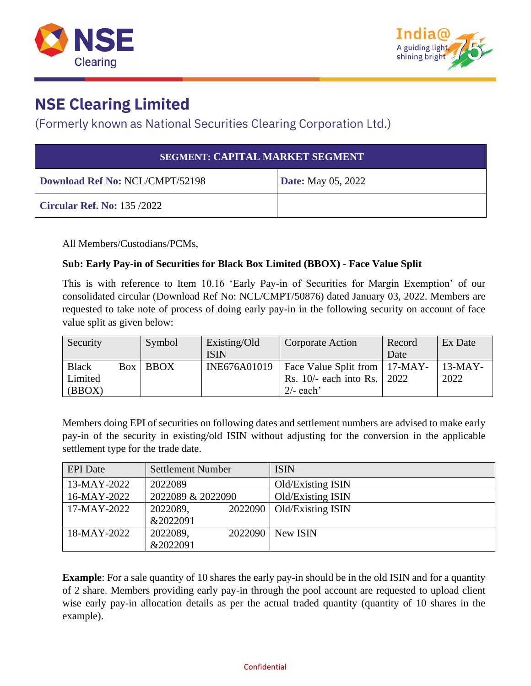



## **NSE Clearing Limited**

### (Formerly known as National Securities Clearing Corporation Ltd.)

| <b>SEGMENT: CAPITAL MARKET SEGMENT</b> |                           |  |  |
|----------------------------------------|---------------------------|--|--|
| Download Ref No: NCL/CMPT/52198        | <b>Date:</b> May 05, 2022 |  |  |
| Circular Ref. No: 135 /2022            |                           |  |  |

All Members/Custodians/PCMs,

#### **Sub: Early Pay-in of Securities for Black Box Limited (BBOX) - Face Value Split**

This is with reference to Item 10.16 'Early Pay-in of Securities for Margin Exemption' of our consolidated circular (Download Ref No: NCL/CMPT/50876) dated January 03, 2022. Members are requested to take note of process of doing early pay-in in the following security on account of face value split as given below:

| Security     | Symbol       | Existing/Old | <b>Corporate Action</b>         | Record | Ex Date   |
|--------------|--------------|--------------|---------------------------------|--------|-----------|
|              |              | <b>ISIN</b>  |                                 | Date   |           |
| <b>Black</b> | $Box$ $BBOX$ | INE676A01019 | Face Value Split from   17-MAY- |        | $13-MAY-$ |
| Limited      |              |              | Rs. 10/- each into Rs. 2022     |        | 2022      |
| (BBOX)       |              |              | $2/-$ each'                     |        |           |

Members doing EPI of securities on following dates and settlement numbers are advised to make early pay-in of the security in existing/old ISIN without adjusting for the conversion in the applicable settlement type for the trade date.

| <b>EPI</b> Date | <b>Settlement Number</b> |         | <b>ISIN</b>       |
|-----------------|--------------------------|---------|-------------------|
| $13-MAY-2022$   | 2022089                  |         | Old/Existing ISIN |
| 16-MAY-2022     | 2022089 & 2022090        |         | Old/Existing ISIN |
| 17-MAY-2022     | 2022089,                 | 2022090 | Old/Existing ISIN |
|                 | &2022091                 |         |                   |
| 18-MAY-2022     | 2022089,                 | 2022090 | New ISIN          |
|                 | &2022091                 |         |                   |

**Example**: For a sale quantity of 10 shares the early pay-in should be in the old ISIN and for a quantity of 2 share. Members providing early pay-in through the pool account are requested to upload client wise early pay-in allocation details as per the actual traded quantity (quantity of 10 shares in the example).